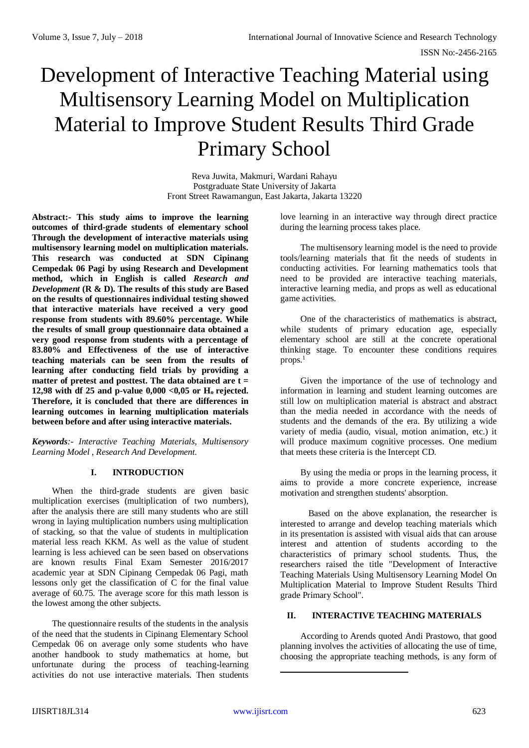# Development of Interactive Teaching Material using Multisensory Learning Model on Multiplication Material to Improve Student Results Third Grade Primary School

Reva Juwita, Makmuri, Wardani Rahayu Postgraduate State University of Jakarta Front Street Rawamangun, East Jakarta, Jakarta 13220

**Abstract:- This study aims to improve the learning outcomes of third-grade students of elementary school Through the development of interactive materials using multisensory learning model on multiplication materials. This research was conducted at SDN Cipinang Cempedak 06 Pagi by using Research and Development method, which in English is called** *Research and Development* **(R & D). The results of this study are Based on the results of questionnaires individual testing showed that interactive materials have received a very good response from students with 89.60% percentage. While the results of small group questionnaire data obtained a very good response from students with a percentage of 83.80% and Effectiveness of the use of interactive teaching materials can be seen from the results of learning after conducting field trials by providing a matter of pretest and posttest. The data obtained are t = 12,98 with df 25 and p-value 0,000 <0,05 or Ho rejected. Therefore, it is concluded that there are differences in learning outcomes in learning multiplication materials between before and after using interactive materials.**

*Keywords:- Interactive Teaching Materials, Multisensory Learning Model , Research And Development.*

#### **I. INTRODUCTION**

When the third-grade students are given basic multiplication exercises (multiplication of two numbers), after the analysis there are still many students who are still wrong in laying multiplication numbers using multiplication of stacking, so that the value of students in multiplication material less reach KKM. As well as the value of student learning is less achieved can be seen based on observations are known results Final Exam Semester 2016/2017 academic year at SDN Cipinang Cempedak 06 Pagi, math lessons only get the classification of C for the final value average of 60.75. The average score for this math lesson is the lowest among the other subjects.

The questionnaire results of the students in the analysis of the need that the students in Cipinang Elementary School Cempedak 06 on average only some students who have another handbook to study mathematics at home, but unfortunate during the process of teaching-learning activities do not use interactive materials. Then students love learning in an interactive way through direct practice during the learning process takes place.

The multisensory learning model is the need to provide tools/learning materials that fit the needs of students in conducting activities. For learning mathematics tools that need to be provided are interactive teaching materials, interactive learning media, and props as well as educational game activities.

One of the characteristics of mathematics is abstract, while students of primary education age, especially elementary school are still at the concrete operational thinking stage. To encounter these conditions requires  $props.<sup>1</sup>$ 

Given the importance of the use of technology and information in learning and student learning outcomes are still low on multiplication material is abstract and abstract than the media needed in accordance with the needs of students and the demands of the era. By utilizing a wide variety of media (audio, visual, motion animation, etc.) it will produce maximum cognitive processes. One medium that meets these criteria is the Intercept CD.

By using the media or props in the learning process, it aims to provide a more concrete experience, increase motivation and strengthen students' absorption.

Based on the above explanation, the researcher is interested to arrange and develop teaching materials which in its presentation is assisted with visual aids that can arouse interest and attention of students according to the characteristics of primary school students. Thus, the researchers raised the title "Development of Interactive Teaching Materials Using Multisensory Learning Model On Multiplication Material to Improve Student Results Third grade Primary School".

#### **II. INTERACTIVE TEACHING MATERIALS**

According to Arends quoted Andi Prastowo, that good planning involves the activities of allocating the use of time, choosing the appropriate teaching methods, is any form of

 $\overline{a}$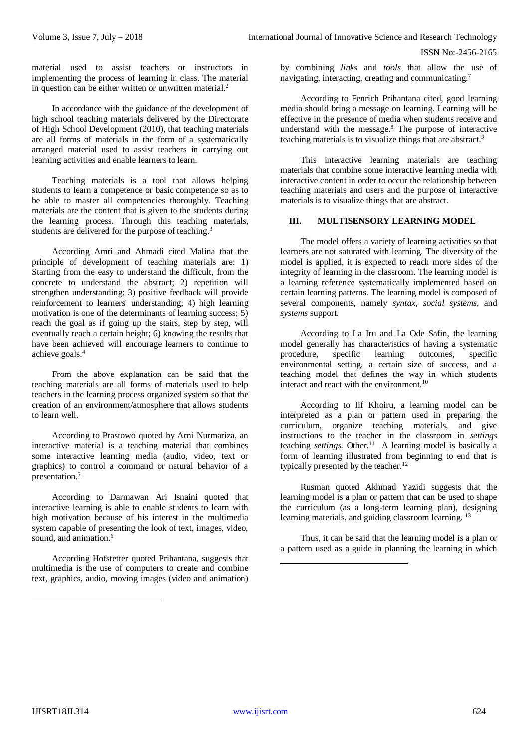material used to assist teachers or instructors in implementing the process of learning in class. The material in question can be either written or unwritten material.<sup>2</sup>

In accordance with the guidance of the development of high school teaching materials delivered by the Directorate of High School Development (2010), that teaching materials are all forms of materials in the form of a systematically arranged material used to assist teachers in carrying out learning activities and enable learners to learn.

Teaching materials is a tool that allows helping students to learn a competence or basic competence so as to be able to master all competencies thoroughly. Teaching materials are the content that is given to the students during the learning process. Through this teaching materials, students are delivered for the purpose of teaching.<sup>3</sup>

According Amri and Ahmadi cited Malina that the principle of development of teaching materials are: 1) Starting from the easy to understand the difficult, from the concrete to understand the abstract; 2) repetition will strengthen understanding; 3) positive feedback will provide reinforcement to learners' understanding; 4) high learning motivation is one of the determinants of learning success; 5) reach the goal as if going up the stairs, step by step, will eventually reach a certain height; 6) knowing the results that have been achieved will encourage learners to continue to achieve goals.<sup>4</sup>

From the above explanation can be said that the teaching materials are all forms of materials used to help teachers in the learning process organized system so that the creation of an environment/atmosphere that allows students to learn well.

According to Prastowo quoted by Arni Nurmariza, an interactive material is a teaching material that combines some interactive learning media (audio, video, text or graphics) to control a command or natural behavior of a presentation.<sup>5</sup>

According to Darmawan Ari Isnaini quoted that interactive learning is able to enable students to learn with high motivation because of his interest in the multimedia system capable of presenting the look of text, images, video, sound, and animation.<sup>6</sup>

According Hofstetter quoted Prihantana, suggests that multimedia is the use of computers to create and combine text, graphics, audio, moving images (video and animation)

by combining *links* and *tools* that allow the use of navigating, interacting, creating and communicating.<sup>7</sup>

According to Fenrich Prihantana cited, good learning media should bring a message on learning. Learning will be effective in the presence of media when students receive and understand with the message.<sup>8</sup> The purpose of interactive teaching materials is to visualize things that are abstract*. 9*

This interactive learning materials are teaching materials that combine some interactive learning media with interactive content in order to occur the relationship between teaching materials and users and the purpose of interactive materials is to visualize things that are abstract.

## **III. MULTISENSORY LEARNING MODEL**

The model offers a variety of learning activities so that learners are not saturated with learning. The diversity of the model is applied, it is expected to reach more sides of the integrity of learning in the classroom. The learning model is a learning reference systematically implemented based on certain learning patterns. The learning model is composed of several components, namely *syntax*, *social systems*, and *systems* support.

According to La Iru and La Ode Safin, the learning model generally has characteristics of having a systematic procedure, specific learning outcomes, specific environmental setting, a certain size of success, and a teaching model that defines the way in which students interact and react with the environment.<sup>10</sup>

According to Iif Khoiru, a learning model can be interpreted as a plan or pattern used in preparing the curriculum, organize teaching materials, and give instructions to the teacher in the classroom in *settings* teaching *settings.* Other. 11 A learning model is basically a form of learning illustrated from beginning to end that is typically presented by the teacher. $12$ 

Rusman quoted Akhmad Yazidi suggests that the learning model is a plan or pattern that can be used to shape the curriculum (as a long-term learning plan), designing learning materials, and guiding classroom learning.<sup>13</sup>

Thus, it can be said that the learning model is a plan or a pattern used as a guide in planning the learning in which

-

1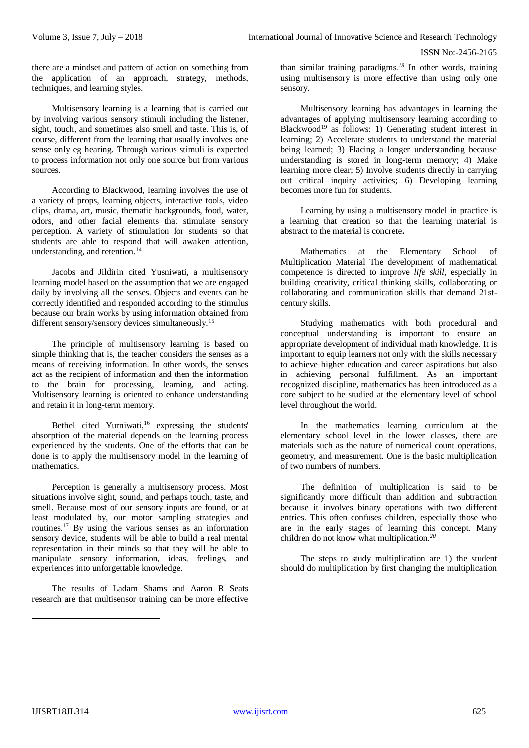there are a mindset and pattern of action on something from the application of an approach, strategy, methods, techniques, and learning styles.

Multisensory learning is a learning that is carried out by involving various sensory stimuli including the listener, sight, touch, and sometimes also smell and taste. This is, of course, different from the learning that usually involves one sense only eg hearing. Through various stimuli is expected to process information not only one source but from various sources.

According to Blackwood, learning involves the use of a variety of props, learning objects, interactive tools, video clips, drama, art, music, thematic backgrounds, food, water, odors, and other facial elements that stimulate sensory perception. A variety of stimulation for students so that students are able to respond that will awaken attention, understanding, and retention.<sup>14</sup>

Jacobs and Jildirin cited Yusniwati, a multisensory learning model based on the assumption that we are engaged daily by involving all the senses. Objects and events can be correctly identified and responded according to the stimulus because our brain works by using information obtained from different sensory/sensory devices simultaneously.<sup>15</sup>

The principle of multisensory learning is based on simple thinking that is, the teacher considers the senses as a means of receiving information. In other words, the senses act as the recipient of information and then the information to the brain for processing, learning, and acting. Multisensory learning is oriented to enhance understanding and retain it in long-term memory.

Bethel cited Yurniwati,<sup>16</sup> expressing the students' absorption of the material depends on the learning process experienced by the students. One of the efforts that can be done is to apply the multisensory model in the learning of mathematics.

Perception is generally a multisensory process. Most situations involve sight, sound, and perhaps touch, taste, and smell. Because most of our sensory inputs are found, or at least modulated by, our motor sampling strategies and routines.<sup>17</sup> By using the various senses as an information sensory device, students will be able to build a real mental representation in their minds so that they will be able to manipulate sensory information, ideas, feelings, and experiences into unforgettable knowledge.

The results of Ladam Shams and Aaron R Seats research are that multisensor training can be more effective

than similar training paradigms*. <sup>18</sup>* In other words, training using multisensory is more effective than using only one sensory.

Multisensory learning has advantages in learning the advantages of applying multisensory learning according to Blackwood<sup>19</sup> as follows: 1) Generating student interest in learning; 2) Accelerate students to understand the material being learned; 3) Placing a longer understanding because understanding is stored in long-term memory; 4) Make learning more clear; 5) Involve students directly in carrying out critical inquiry activities; 6) Developing learning becomes more fun for students.

Learning by using a multisensory model in practice is a learning that creation so that the learning material is abstract to the material is concrete**.** 

Mathematics at the Elementary School of Multiplication Material The development of mathematical competence is directed to improve *life skill*, especially in building creativity, critical thinking skills, collaborating or collaborating and communication skills that demand 21stcentury skills.

Studying mathematics with both procedural and conceptual understanding is important to ensure an appropriate development of individual math knowledge. It is important to equip learners not only with the skills necessary to achieve higher education and career aspirations but also in achieving personal fulfillment. As an important recognized discipline, mathematics has been introduced as a core subject to be studied at the elementary level of school level throughout the world.

In the mathematics learning curriculum at the elementary school level in the lower classes, there are materials such as the nature of numerical count operations, geometry, and measurement. One is the basic multiplication of two numbers of numbers.

The definition of multiplication is said to be significantly more difficult than addition and subtraction because it involves binary operations with two different entries. This often confuses children, especially those who are in the early stages of learning this concept. Many children do not know what multiplication.*<sup>20</sup>*

The steps to study multiplication are 1) the student should do multiplication by first changing the multiplication

1

 $\overline{a}$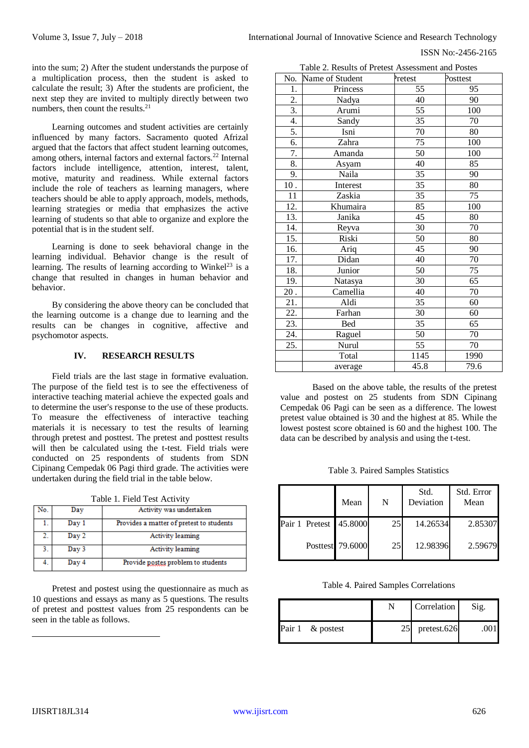Table 2. Results of Pretest Assessment and Postes

ISSN No:-2456-2165

into the sum; 2) After the student understands the purpose of a multiplication process, then the student is asked to calculate the result; 3) After the students are proficient, the next step they are invited to multiply directly between two numbers, then count the results.<sup>21</sup>

Learning outcomes and student activities are certainly influenced by many factors. Sacramento quoted Afrizal argued that the factors that affect student learning outcomes, among others, internal factors and external factors.<sup>22</sup> Internal factors include intelligence, attention, interest, talent, motive, maturity and readiness. While external factors include the role of teachers as learning managers, where teachers should be able to apply approach, models, methods, learning strategies or media that emphasizes the active learning of students so that able to organize and explore the potential that is in the student self.

Learning is done to seek behavioral change in the learning individual. Behavior change is the result of learning. The results of learning according to Winkel<sup>23</sup> is a change that resulted in changes in human behavior and behavior.

By considering the above theory can be concluded that the learning outcome is a change due to learning and the results can be changes in cognitive, affective and psychomotor aspects.

#### **IV. RESEARCH RESULTS**

Field trials are the last stage in formative evaluation. The purpose of the field test is to see the effectiveness of interactive teaching material achieve the expected goals and to determine the user's response to the use of these products. To measure the effectiveness of interactive teaching materials it is necessary to test the results of learning through pretest and posttest. The pretest and posttest results will then be calculated using the t-test. Field trials were conducted on 25 respondents of students from SDN Cipinang Cempedak 06 Pagi third grade. The activities were undertaken during the field trial in the table below.

|  |  |  |  | Table 1. Field Test Activity |
|--|--|--|--|------------------------------|
|--|--|--|--|------------------------------|

| No. | Day   | Activity was undertaken                  |
|-----|-------|------------------------------------------|
| ı.  | Day 1 | Provides a matter of pretest to students |
| 2.  | Day 2 | <b>Activity learning</b>                 |
| 3.  | Day 3 | <b>Activity learning</b>                 |
| 4.  | Day 4 | Provide postes problem to students       |

Pretest and postest using the questionnaire as much as 10 questions and essays as many as 5 questions. The results of pretest and posttest values from 25 respondents can be seen in the table as follows.

| No.               | Name of Student                 | Pretest | Posttest |  |
|-------------------|---------------------------------|---------|----------|--|
| 1.                | Princess                        | 55      | 95       |  |
| 2.                | Nadya                           | 40      | 90       |  |
| $\overline{3}$ .  | Arumi                           | 55      | 100      |  |
| 4.                | Sandy                           | 35      | 70       |  |
| 5.                | Isni                            | 70      | 80       |  |
| 6.                | Zahra                           | 75      | 100      |  |
| 7.                | Amanda                          | 50      | 100      |  |
| 8.                | Asyam                           | 40      | 85       |  |
| 9.                | Naila                           | 35      | 90       |  |
| $\overline{10}$ . | Interest                        | 35      | 80       |  |
| 11                | Zaskia                          | 35      | 75       |  |
| 12.               | Khumaira                        | 85      | 100      |  |
| 13.               | Janika                          | 45      | 80       |  |
| 14.               | Reyva                           | 30      | 70       |  |
| 15.               | Riski                           | 50      | 80       |  |
| 16.               | Ariq                            | 45      | 90       |  |
| 17.               | Didan                           | 40      | 70       |  |
| 18.               | Junior                          | 50      | 75       |  |
| $\overline{1}9.$  | Natasya                         | 30      | 65       |  |
| $20$ .            | $\overline{\mathrm{C}}$ amellia | 40      | 70       |  |
| 21.               | Aldi                            | 35      | 60       |  |
| 22.               | Farhan                          | 30      | 60       |  |
| 23.               | Bed                             | 35      | 65       |  |
| 24.               | Raguel                          | 50      | 70       |  |
| 25.               | Nurul                           | 55      | 70       |  |
|                   | Total                           | 1145    | 1990     |  |
|                   | average                         | 45.8    | 79.6     |  |

Based on the above table, the results of the pretest value and postest on 25 students from SDN Cipinang Cempedak 06 Pagi can be seen as a difference. The lowest pretest value obtained is 30 and the highest at 85. While the lowest postest score obtained is 60 and the highest 100. The data can be described by analysis and using the t-test.

|  |  |  | Table 3. Paired Samples Statistics |
|--|--|--|------------------------------------|
|--|--|--|------------------------------------|

|                        | Mean             | N               | Std.<br>Deviation | Std. Error<br>Mean |
|------------------------|------------------|-----------------|-------------------|--------------------|
| Pair 1 Pretest 45.8000 |                  | 25              | 14.26534          | 2.85307            |
|                        | Posttest 79.6000 | 25 <sup>I</sup> | 12.98396          | 2.59679            |

Table 4. Paired Samples Correlations

|                  |                  | <b>Correlation</b> | Sig. |
|------------------|------------------|--------------------|------|
| Pair 1 & postest | 25 <sup>-1</sup> | pretest.626        |      |

-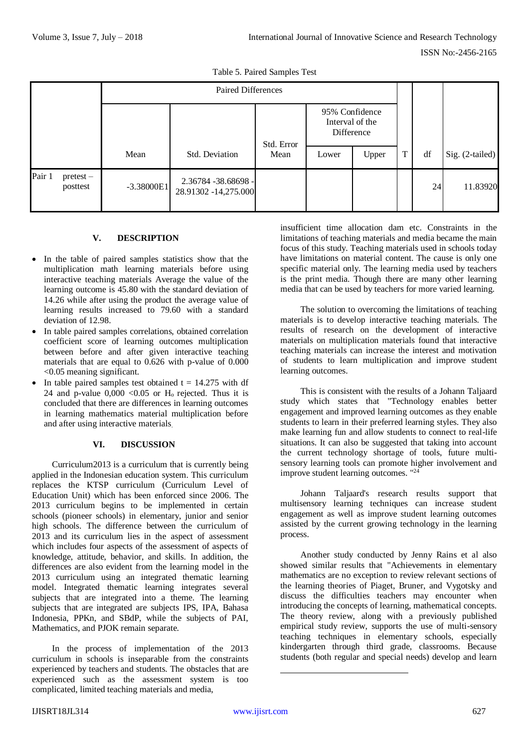|                                   | <b>Paired Differences</b> |                                             |            |                                                 |       |   |    |                 |
|-----------------------------------|---------------------------|---------------------------------------------|------------|-------------------------------------------------|-------|---|----|-----------------|
|                                   |                           |                                             | Std. Error | 95% Confidence<br>Interval of the<br>Difference |       |   |    |                 |
|                                   | Mean                      | Std. Deviation                              | Mean       | Lower                                           | Upper | T | df | Sig. (2-tailed) |
| Pair 1<br>$pretest -$<br>posttest | $-3.38000E1$              | 2.36784 -38.68698 -<br>28.91302 -14,275.000 |            |                                                 |       |   | 24 | 11.83920        |

Table 5. Paired Samples Test

## **V. DESCRIPTION**

- In the table of paired samples statistics show that the multiplication math learning materials before using interactive teaching materials Average the value of the learning outcome is 45.80 with the standard deviation of 14.26 while after using the product the average value of learning results increased to 79.60 with a standard deviation of 12.98.
- In table paired samples correlations, obtained correlation coefficient score of learning outcomes multiplication between before and after given interactive teaching materials that are equal to 0.626 with p-value of 0.000 <0.05 meaning significant.
- In table paired samples test obtained  $t = 14.275$  with df 24 and p-value  $0,000 < 0.05$  or  $H_0$  rejected. Thus it is concluded that there are differences in learning outcomes in learning mathematics material multiplication before and after using interactive materials.

## **VI. DISCUSSION**

Curriculum2013 is a curriculum that is currently being applied in the Indonesian education system. This curriculum replaces the KTSP curriculum (Curriculum Level of Education Unit) which has been enforced since 2006. The 2013 curriculum begins to be implemented in certain schools (pioneer schools) in elementary, junior and senior high schools. The difference between the curriculum of 2013 and its curriculum lies in the aspect of assessment which includes four aspects of the assessment of aspects of knowledge, attitude, behavior, and skills. In addition, the differences are also evident from the learning model in the 2013 curriculum using an integrated thematic learning model. Integrated thematic learning integrates several subjects that are integrated into a theme. The learning subjects that are integrated are subjects IPS, IPA, Bahasa Indonesia, PPKn, and SBdP, while the subjects of PAI, Mathematics, and PJOK remain separate.

In the process of implementation of the 2013 curriculum in schools is inseparable from the constraints experienced by teachers and students. The obstacles that are experienced such as the assessment system is too complicated, limited teaching materials and media,

insufficient time allocation dam etc. Constraints in the limitations of teaching materials and media became the main focus of this study. Teaching materials used in schools today have limitations on material content. The cause is only one specific material only. The learning media used by teachers is the print media. Though there are many other learning media that can be used by teachers for more varied learning.

The solution to overcoming the limitations of teaching materials is to develop interactive teaching materials. The results of research on the development of interactive materials on multiplication materials found that interactive teaching materials can increase the interest and motivation of students to learn multiplication and improve student learning outcomes.

This is consistent with the results of a Johann Taljaard study which states that "Technology enables better engagement and improved learning outcomes as they enable students to learn in their preferred learning styles. They also make learning fun and allow students to connect to real-life situations. It can also be suggested that taking into account the current technology shortage of tools, future multisensory learning tools can promote higher involvement and improve student learning outcomes. "<sup>24</sup>

Johann Taljaard's research results support that multisensory learning techniques can increase student engagement as well as improve student learning outcomes assisted by the current growing technology in the learning process.

Another study conducted by Jenny Rains et al also showed similar results that "Achievements in elementary mathematics are no exception to review relevant sections of the learning theories of Piaget, Bruner, and Vygotsky and discuss the difficulties teachers may encounter when introducing the concepts of learning, mathematical concepts. The theory review, along with a previously published empirical study review, supports the use of multi-sensory teaching techniques in elementary schools, especially kindergarten through third grade, classrooms. Because students (both regular and special needs) develop and learn

 $\overline{a}$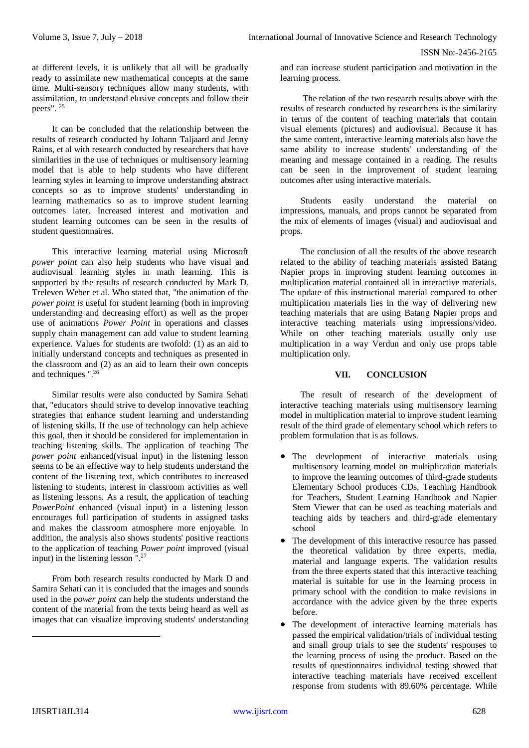at different levels, it is unlikely that all will be gradually ready to assimilate new mathematical concepts at the same time. Multi-sensory techniques allow many students, with assimilation, to understand elusive concepts and follow their peers". <sup>25</sup>

It can be concluded that the relationship between the results of research conducted by Johann Taljaard and Jenny Rains, et al with research conducted by researchers that have similarities in the use of techniques or multisensory learning model that is able to help students who have different learning styles in learning to improve understanding abstract concepts so as to improve students' understanding in learning mathematics so as to improve student learning outcomes later. Increased interest and motivation and student learning outcomes can be seen in the results of student questionnaires.

This interactive learning material using Microsoft *power point* can also help students who have visual and audiovisual learning styles in math learning. This is supported by the results of research conducted by Mark D. Treleven Weber et al. Who stated that, "the animation of the *power point is* useful for student learning (both in improving understanding and decreasing effort) as well as the proper use of animations *Power Point* in operations and classes supply chain management can add value to student learning experience. Values for students are twofold: (1) as an aid to initially understand concepts and techniques as presented in the classroom and (2) as an aid to learn their own concepts and techniques ".<sup>26</sup>

Similar results were also conducted by Samira Sehati that, "educators should strive to develop innovative teaching strategies that enhance student learning and understanding of listening skills. If the use of technology can help achieve this goal, then it should be considered for implementation in teaching listening skills. The application of teaching The *power point* enhanced(visual input) in the listening lesson seems to be an effective way to help students understand the content of the listening text, which contributes to increased listening to students, interest in classroom activities as well as listening lessons. As a result, the application of teaching *PowerPoint* enhanced (visual input) in a listening lesson encourages full participation of students in assigned tasks and makes the classroom atmosphere more enjoyable. In addition, the analysis also shows students' positive reactions to the application of teaching *Power point* improved (visual input) in the listening lesson ".<sup>27</sup>

From both research results conducted by Mark D and Samira Sehati can it is concluded that the images and sounds used in the *power point* can help the students understand the content of the material from the texts being heard as well as images that can visualize improving students' understanding

and can increase student participation and motivation in the learning process.

The relation of the two research results above with the results of research conducted by researchers is the similarity in terms of the content of teaching materials that contain visual elements (pictures) and audiovisual. Because it has the same content, interactive learning materials also have the same ability to increase students' understanding of the meaning and message contained in a reading. The results can be seen in the improvement of student learning outcomes after using interactive materials.

Students easily understand the material on impressions, manuals, and props cannot be separated from the mix of elements of images (visual) and audiovisual and props.

The conclusion of all the results of the above research related to the ability of teaching materials assisted Batang Napier props in improving student learning outcomes in multiplication material contained all in interactive materials. The update of this instructional material compared to other multiplication materials lies in the way of delivering new teaching materials that are using Batang Napier props and interactive teaching materials using impressions/video. While on other teaching materials usually only use multiplication in a way Verdun and only use props table multiplication only.

### **VII. CONCLUSION**

The result of research of the development of interactive teaching materials using multisensory learning model in multiplication material to improve student learning result of the third grade of elementary school which refers to problem formulation that is as follows.

- The development of interactive materials using multisensory learning model on multiplication materials to improve the learning outcomes of third-grade students Elementary School produces CDs, Teaching Handbook for Teachers, Student Learning Handbook and Napier Stem Viewer that can be used as teaching materials and teaching aids by teachers and third-grade elementary school
- The development of this interactive resource has passed the theoretical validation by three experts, media, material and language experts. The validation results from the three experts stated that this interactive teaching material is suitable for use in the learning process in primary school with the condition to make revisions in accordance with the advice given by the three experts before.
- The development of interactive learning materials has passed the empirical validation/trials of individual testing and small group trials to see the students' responses to the learning process of using the product. Based on the results of questionnaires individual testing showed that interactive teaching materials have received excellent response from students with 89.60% percentage. While

-